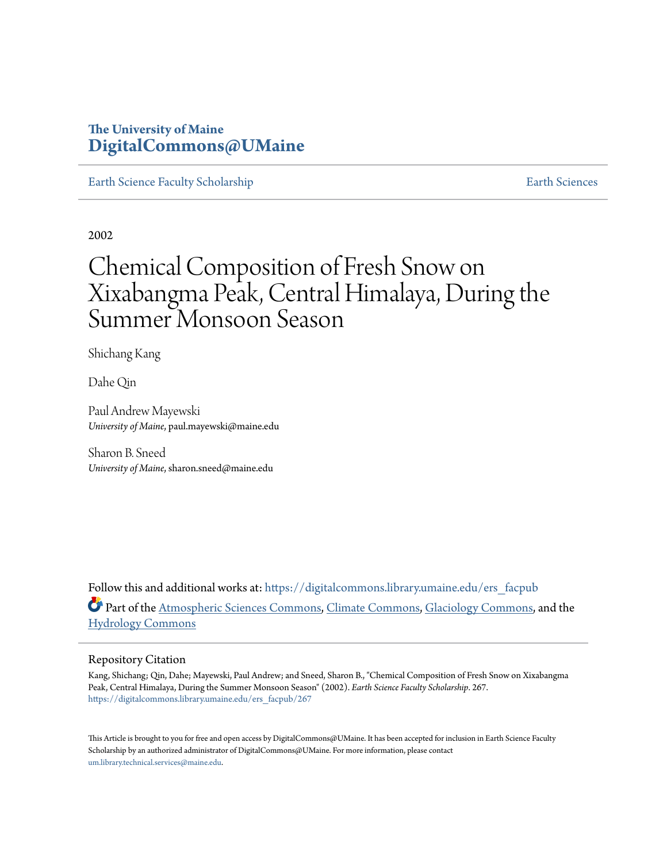### **The University of Maine [DigitalCommons@UMaine](https://digitalcommons.library.umaine.edu?utm_source=digitalcommons.library.umaine.edu%2Fers_facpub%2F267&utm_medium=PDF&utm_campaign=PDFCoverPages)**

[Earth Science Faculty Scholarship](https://digitalcommons.library.umaine.edu/ers_facpub?utm_source=digitalcommons.library.umaine.edu%2Fers_facpub%2F267&utm_medium=PDF&utm_campaign=PDFCoverPages) **[Earth Sciences](https://digitalcommons.library.umaine.edu/ers?utm_source=digitalcommons.library.umaine.edu%2Fers_facpub%2F267&utm_medium=PDF&utm_campaign=PDFCoverPages)** 

2002

# Chemical Composition of Fresh Snow on Xixabangma Peak, Central Himalaya, During the Summer Monsoon Season

Shichang Kang

Dahe Qin

Paul Andrew Mayewski *University of Maine*, paul.mayewski@maine.edu

Sharon B. Sneed *University of Maine*, sharon.sneed@maine.edu

Follow this and additional works at: [https://digitalcommons.library.umaine.edu/ers\\_facpub](https://digitalcommons.library.umaine.edu/ers_facpub?utm_source=digitalcommons.library.umaine.edu%2Fers_facpub%2F267&utm_medium=PDF&utm_campaign=PDFCoverPages) Part of the [Atmospheric Sciences Commons,](http://network.bepress.com/hgg/discipline/187?utm_source=digitalcommons.library.umaine.edu%2Fers_facpub%2F267&utm_medium=PDF&utm_campaign=PDFCoverPages) [Climate Commons,](http://network.bepress.com/hgg/discipline/188?utm_source=digitalcommons.library.umaine.edu%2Fers_facpub%2F267&utm_medium=PDF&utm_campaign=PDFCoverPages) [Glaciology Commons](http://network.bepress.com/hgg/discipline/159?utm_source=digitalcommons.library.umaine.edu%2Fers_facpub%2F267&utm_medium=PDF&utm_campaign=PDFCoverPages), and the [Hydrology Commons](http://network.bepress.com/hgg/discipline/1054?utm_source=digitalcommons.library.umaine.edu%2Fers_facpub%2F267&utm_medium=PDF&utm_campaign=PDFCoverPages)

### Repository Citation

Kang, Shichang; Qin, Dahe; Mayewski, Paul Andrew; and Sneed, Sharon B., "Chemical Composition of Fresh Snow on Xixabangma Peak, Central Himalaya, During the Summer Monsoon Season" (2002). *Earth Science Faculty Scholarship*. 267. [https://digitalcommons.library.umaine.edu/ers\\_facpub/267](https://digitalcommons.library.umaine.edu/ers_facpub/267?utm_source=digitalcommons.library.umaine.edu%2Fers_facpub%2F267&utm_medium=PDF&utm_campaign=PDFCoverPages)

This Article is brought to you for free and open access by DigitalCommons@UMaine. It has been accepted for inclusion in Earth Science Faculty Scholarship by an authorized administrator of DigitalCommons@UMaine. For more information, please contact [um.library.technical.services@maine.edu](mailto:um.library.technical.services@maine.edu).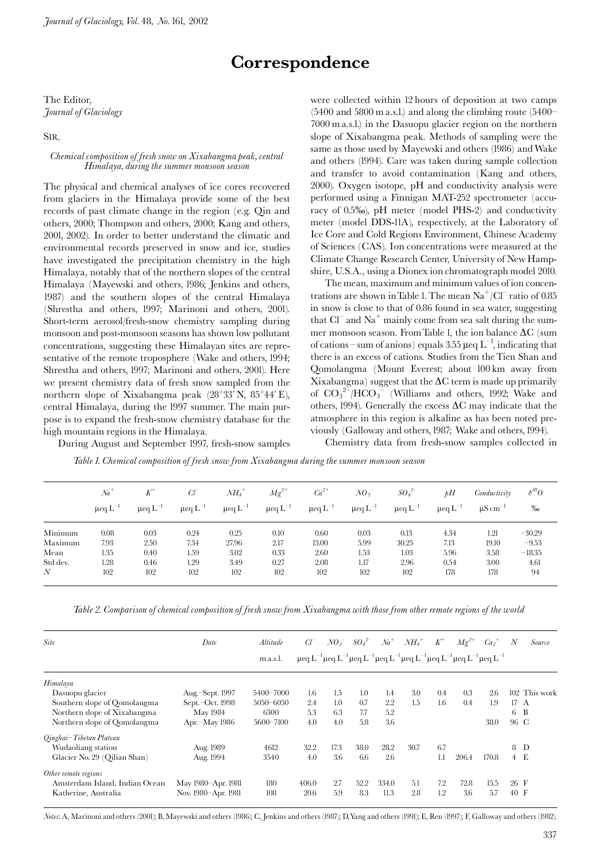## Correspondence

The Editor, Journal of Glaciology

SIR.

### Chemical composition of fresh snow on Xixabangma peak, central Himalaya, during the summer monsoon season

The physical and chemical analyses of ice cores recovered from glaciers in the Himalaya provide some of the best records of past climate change in the region (e.g. Qin and others, 2000; Thompson and others, 2000; Kang and others, 2001, 2002). In order to better understand the climatic and environmental records preserved in snow and ice, studies have investigated the precipitation chemistry in the high Himalaya, notably that of the northern slopes of the central Himalaya (Mayewski and others, 1986; Jenkins and others, 1987) and the southern slopes of the central Himalaya (Shrestha and others, 1997; Marinoni and others, 2001). Short-term aerosol/fresh-snow chemistry sampling during monsoon and post-monsoon seasons has shown low pollutant concentrations, suggesting these Himalayan sites are representative of the remote troposphere (Wake and others, 1994; Shrestha and others, 1997; Marinoni and others, 2001). Here we present chemistry data of fresh snow sampled from the northern slope of Xixabangma peak (28°33'N, 85°44'E), central Himalaya, during the 1997 summer. The main purpose is to expand the fresh-snow chemistry database for the high mountain regions in the Himalaya.

During August and September 1997, fresh-snow samples

were collected within 12 hours of deposition at two camps  $(5400 \text{ and } 5800 \text{ m a.s.}!)$  and along the climbing route  $(5400 -$ 7000 m a.s.l.) in the Dasuopu glacier region on the northern slope of Xixabangma peak. Methods of sampling were the same as those used by Mayewski and others (1986) and Wake and others (1994). Care was taken during sample collection and transfer to avoid contamination (Kang and others, 2000). Oxygen isotope, pH and conductivity analysis were performed using a Finnigan MAT-252 spectrometer (accuracy of 0.5‰), pH meter (model PHS-2) and conductivity meter (model DDS-11A), respectively, at the Laboratory of Ice Core and Cold Regions Environment, Chinese Academy of Sciences (CAS). Ion concentrations were measured at the Climate Change Research Center, University of New Hampshire, U.S.A., using a Dionex ion chromatograph model 2010.

The mean, maximum and minimum values of ion concentrations are shown in Table 1. The mean  $Na^+/Cl^-$  ratio of 0.85 in snow is close to that of 0.86 found in sea water, suggesting that  $Cl<sup>-</sup>$  and Na<sup>+</sup> mainly come from sea salt during the summer monsoon season. From Table 1, the ion balance  $\Delta C$  (sum of cations – sum of anions) equals 3.55  $\mu$ eq L<sup>-1</sup>, indicating that there is an excess of cations. Studies from the Tien Shan and Qomolangma (Mount Everest; about 100 km away from Xixabangma) suggest that the  $\Delta C$  term is made up primarily of  $CO_3^2$ <sup>-1</sup>/HCO<sub>3</sub><sup>-</sup> (Williams and others, 1992; Wake and others, 1994). Generally the excess  $\Delta C$  may indicate that the atmosphere in this region is alkaline as has been noted previously (Galloway and others, 1987; Wake and others, 1994).

Chemistry data from fresh-snow samples collected in

Table 1. Chemical composition of fresh snow from Xixabangma during the summer monsoon season

|                  | $Na+$<br>$\mu$ eq $L^{-1}$ | $K^+$<br>$\mu$ eq $L^{-1}$ | $C\!U$<br>$\mu$ eq $L^{-1}$ | $NH_4$ <sup>+</sup><br>$\mu$ eq $L^{-1}$ | $Mg^{2+}$<br>$\mu$ eq $L^{-1}$ | $Ca^{2+}$<br>$\mu$ eq $L^{-1}$ | $NO_3^-$<br>$\mu$ eq $L^{-1}$ | $SO_4^2$<br>$\mu$ eq $L^{-1}$ | $\n  bH\n$<br>$\mu$ eq $L^{-1}$ | Conductivity<br>$\mu$ S cm <sup>-1</sup> | $\delta^{l\theta}O$<br>% |
|------------------|----------------------------|----------------------------|-----------------------------|------------------------------------------|--------------------------------|--------------------------------|-------------------------------|-------------------------------|---------------------------------|------------------------------------------|--------------------------|
| Minimum          | 0.08                       | 0.03                       | 0.24                        | 0.25                                     | 0.10                           | 0.60                           | 0.03                          | 0.13                          | 4.34                            | 1.21                                     | $-30.29$                 |
| Maximum          | 7.93                       | 2.50                       | 7.34                        | 27.96                                    | 2.17                           | 13.00                          | 5.99                          | 30.25                         | 7.13                            | 19.10                                    | $-9.53$                  |
| Mean             | 1.35                       | 0.40                       | 1.59                        | 3.02                                     | 0.33                           | 2.60                           | 1.53                          | 1.03                          | 5.96                            | 3.58                                     | $-18.35$                 |
| Std dev.         | 1.28                       | 0.46                       | 1.29                        | 3.49                                     | 0.27                           | 2.08                           | 1.17                          | 2.96                          | 0.54                            | 3.00                                     | 4.61                     |
| $\boldsymbol{N}$ | 102                        | 102                        | 102                         | 102                                      | 102                            | 102                            | 102                           | 102                           | 178                             | 178                                      | 94                       |

Table 2. Comparison of chemical composition of fresh snow from Xixabangma with those from other remote regions of the world

| <b>Site</b>                    | Date                | Altitude      | $C\Gamma$ |      | $NO_3^{\,-}$ $SO_4^{\,2-}$ | $Na+$ | $\overline{MH_{4}}^{+}$ | $K^+$ | $Mg^{2+}$ | $Ca_2^+$                                                                                                                          | N              | Source        |
|--------------------------------|---------------------|---------------|-----------|------|----------------------------|-------|-------------------------|-------|-----------|-----------------------------------------------------------------------------------------------------------------------------------|----------------|---------------|
|                                |                     | m a.s.l.      |           |      |                            |       |                         |       |           | $\mu$ eq $L^{-1} \mu$ eq $L^{-1} \mu$ eq $L^{-1} \mu$ eq $L^{-1} \mu$ eq $L^{-1} \mu$ eq $L^{-1} \mu$ eq $L^{-1} \mu$ eq $L^{-1}$ |                |               |
| Himalaya                       |                     |               |           |      |                            |       |                         |       |           |                                                                                                                                   |                |               |
| Dasuopu glacier                | Aug.-Sept. 1997     | 5400-7000     | 1.6       | 1.5  | 1.0                        | 1.4   | 3.0                     | 0.4   | 0.3       | 2.6                                                                                                                               |                | 102 This work |
| Southern slope of Qomolangma   | Sept.-Oct. 1998     | $5050 - 6050$ | 2.4       | 1.0  | 0.7                        | 2.2   | 1.5                     | 1.6   | 0.4       | 1.9                                                                                                                               | $17 \text{ A}$ |               |
| Northern slope of Xixabangma   | <b>May 1984</b>     | 6300          | 5.3       | 6.3  | 7.7                        | 5.2   |                         |       |           |                                                                                                                                   | 6              | B             |
| Northern slope of Qomolangma   | Apr.-May 1986       | 5600-7100     | 4.0       | 4.0  | 5.8                        | 3.6   |                         |       |           | 38.0                                                                                                                              | 96 C           |               |
| Qinghai-Tibetan Plateau        |                     |               |           |      |                            |       |                         |       |           |                                                                                                                                   |                |               |
| Wudaoliang station             | Aug. 1989           | 4612          | 32.2      | 17.3 | 38.0                       | 28.2  | 30.7                    | 6.7   |           |                                                                                                                                   | 8              | D             |
| Glacier No. 29 (Qilian Shan)   | Aug. 1994           | 3540          | 4.0       | 3.6  | 6.6                        | 2.6   |                         | 1.1   | 206.4     | 170.8                                                                                                                             | 4 E            |               |
| Other remote regions           |                     |               |           |      |                            |       |                         |       |           |                                                                                                                                   |                |               |
| Amsterdam Island, Indian Ocean | May 1980-Apr. 1981  | 180           | 406.0     | 2.7  | 52.2                       | 334.0 | 5.1                     | 7.2   | 72.8      | 15.5                                                                                                                              | 26 F           |               |
| Katherine, Australia           | Nov. 1980-Apr. 1981 | 108           | 20.6      | 5.9  | 8.3                        | 11.3  | 2.8                     | 1.2   | 3.6       | 5.7                                                                                                                               | 40 F           |               |

Notes: A, Marinoni and others (2001); B, Mayewski and others (1986); C, Jenkins and others (1987); D, Yang and others (1991); E, Ren (1997); F, Galloway and others (1982).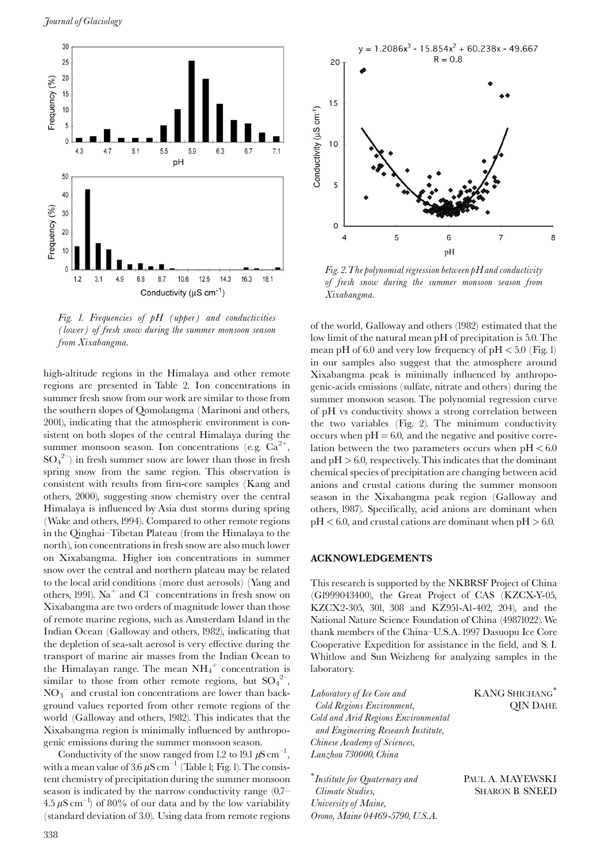

Fig. 1. Frequencies of pH (upper) and conductivities (lower) of fresh snow during the summer monsoon season from Xixabangma.

high-altitude regions in the Himalaya and other remote regions are presented in Table 2. Ion concentrations in summer fresh snow from our work are similar to those from the southern slopes of Qomolangma (Marinoni and others, 2001), indicating that the atmospheric environment is consistent on both slopes of the central Himalaya during the summer monsoon season. Ion concentrations (e.g.  $Ca^{2+}$ ,  $SO_4^2$ ) in fresh summer snow are lower than those in fresh spring snow from the same region. This observation is consistent with results from firn-core samples (Kang and others, 2000), suggesting snow chemistry over the central Himalaya is influenced by Asia dust storms during spring (Wake and others, 1994). Compared to other remote regions in the Qinghai-Tibetan Plateau (from the Himalaya to the north), ion concentrations in fresh snow are also much lower on Xixabangma. Higher ion concentrations in summer snow over the central and northern plateau may be related to the local arid conditions (more dust aerosols) (Yang and others, 1991). Na<sup>+</sup> and  $CI<sup>-</sup>$  concentrations in fresh snow on Xixabangma are two orders of magnitude lower than those of remote marine regions, such as Amsterdam Island in the Indian Ocean (Galloway and others, 1982), indicating that the depletion of sea-salt aerosol is very effective during the transport of marine air masses from the Indian Ocean to the Himalayan range. The mean  $NH_4^+$  concentration is similar to those from other remote regions, but  $SO_4^2$ ,  $NO<sub>3</sub><sup>-</sup>$  and crustal ion concentrations are lower than background values reported from other remote regions of the world (Galloway and others, 1982). This indicates that the Xixabangma region is minimally influenced by anthropogenic emissions during the summer monsoon season.

Conductivity of the snow ranged from 1.2 to 19.1  $\mu$ S cm<sup>-1</sup>. with a mean value of  $3.6 \mu S \text{ cm}^{-1}$  (Table 1; Fig. 1). The consistent chemistry of precipitation during the summer monsoon season is indicated by the narrow conductivity range  $(0.7 4.5 \mu S \text{ cm}^{-1}$  of 80% of our data and by the low variability (standard deviation of 3.0). Using data from remote regions



Fig. 2. The polynomial regression between  $pH$  and conductivity of fresh snow during the summer monsoon season from Xixabangma.

of the world, Galloway and others (1982) estimated that the low limit of the natural mean pH of precipitation is 5.0. The mean pH of 6.0 and very low frequency of pH  $<$  5.0 (Fig. 1) in our samples also suggest that the atmosphere around Xixabangma peak is minimally influenced by anthropogenic-acids emissions (sulfate, nitrate and others) during the summer monsoon season. The polynomial regression curve of pH vs conductivity shows a strong correlation between the two variables (Fig. 2). The minimum conductivity occurs when  $pH = 6.0$ , and the negative and positive correlation between the two parameters occurs when  $pH < 6.0$ and  $pH > 6.0$ , respectively. This indicates that the dominant chemical species of precipitation are changing between acid anions and crustal cations during the summer monsoon season in the Xixabangma peak region (Galloway and others, 1987). Specifically, acid anions are dominant when  $pH < 6.0$ , and crustal cations are dominant when  $pH > 6.0$ .

### **ACKNOWLEDGEMENTS**

This research is supported by the NKBRSF Project of China (G1999043400), the Great Project of CAS (KZCX-Y-05, KZCX2-305, 301, 308 and KZ951-A1-402, 204), and the National Nature Science Foundation of China (49871022). We thank members of the China-U.S.A. 1997 Dasuopu Ice Core Cooperative Expedition for assistance in the field, and S.I. Whitlow and Sun Weizheng for analyzing samples in the laboratory.

| Laboratory of Ice Core and          | <b>KANG SHIC</b> |
|-------------------------------------|------------------|
| Cold Regions Environment,           | OП               |
| Cold and Arid Regions Environmental |                  |
| and Engineering Research Institute, |                  |
| Chinese Academy of Sciences,        |                  |
| Lanzhou 730000, China               |                  |
|                                     |                  |

 $\displaystyle{^\ast}$  Institute for Quaternary and Climate Studies, University of Maine, Orono, Maine 04469-5790, U.S.A.  $\mathtt{CHANG}^*$ N DAHE

PAUL A. MAYEWSKI **SHARON B. SNEED**